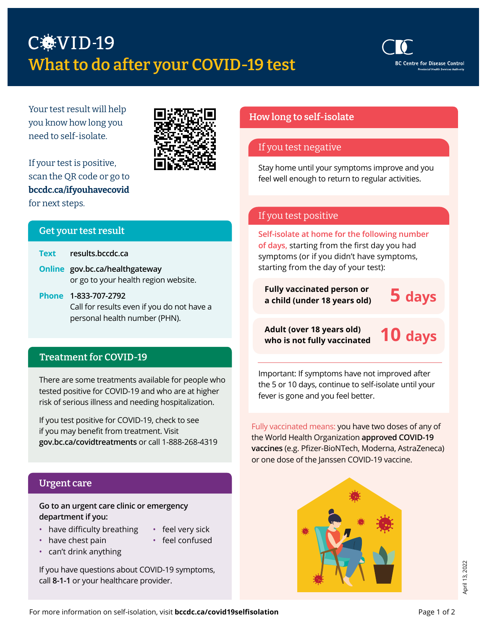# C.VID-19 What to do after your COVID-19 test



Your test result will help you know how long you need to self-isolate.



If your test is positive, scan the QR code or go to [bccdc.ca/ifyouhavecovid](http://bccdc.ca/ifyouhavecovid) for next steps.

#### Get your test result

| <b>Text</b> results.bccdc.ca         |
|--------------------------------------|
| Online gov.bc.ca/healthgateway       |
| or go to your health region website. |

**Phone 1-833-707-2792** Call for results even if you do not have a personal health number (PHN).

#### Treatment for COVID-19

There are some treatments available for people who tested positive for COVID-19 and who are at higher risk of serious illness and needing hospitalization.

If you test positive for COVID-19, check to see if you may benefit from treatment. Visit **[gov.bc.ca/covidtreatments](http://gov.bc.ca/covidtreatments)** or call 1-888-268-4319

### Urgent care

#### **Go to an urgent care clinic or emergency department if you:**

- have difficulty breathing
- feel very sick
- have chest pain
- feel confused
- can't drink anything

If you have questions about COVID-19 symptoms, call **8-1-1** or your healthcare provider.

## How long to self-isolate

#### If you test negative

Stay home until your symptoms improve and you feel well enough to return to regular activities.

# If you test positive

**Self-isolate at home for the following number of days,** starting from the first day you had symptoms (or if you didn't have symptoms, starting from the day of your test):

**Fully vaccinated person or a child (under 18 years old)** 

**5 days**

**Adult (over 18 years old) who is not fully vaccinated**

**10 days**

Important: If symptoms have not improved after the 5 or 10 days, continue to self-isolate until your fever is gone and you feel better.

Fully vaccinated means: you have two doses of any of the World Health Organization **[approved COVID-19](http://www.bccdc.ca/Health-Info-Site/Documents/COVID-19_vaccine/WHO-EUA-qualified-covid-vaccines.pdf)  [vaccines](http://www.bccdc.ca/Health-Info-Site/Documents/COVID-19_vaccine/WHO-EUA-qualified-covid-vaccines.pdf)** (e.g. Pfizer-BioNTech, Moderna, AstraZeneca) or one dose of the Janssen COVID-19 vaccine.